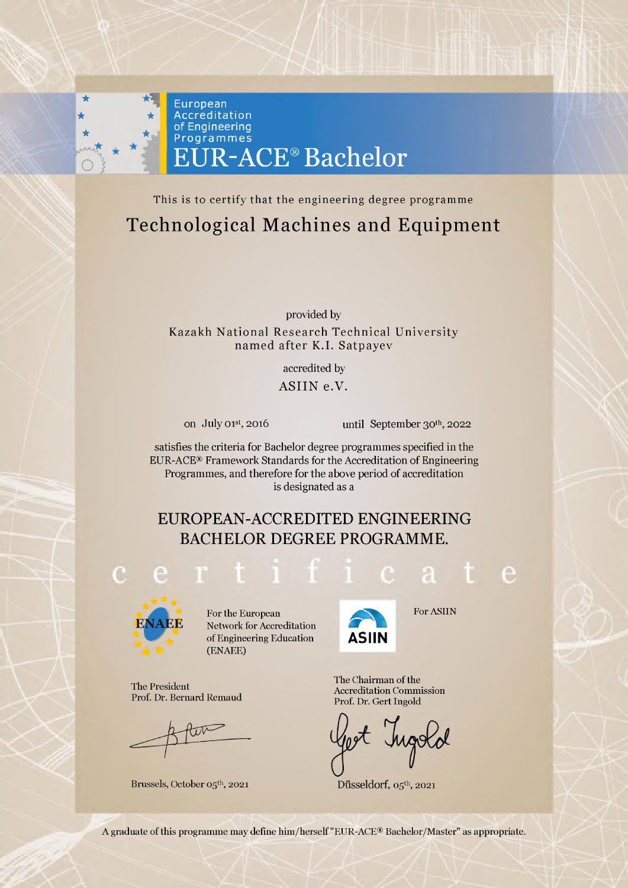

This is to certify that the engineering degree programme Technological Machines and Equipment

> provided by Kazakh National Research Technical University named after K.I. Satpayev

> > accredited by ASIIN e.V.

on July 01st, 2016 until September 30th, 2022

satisfies the criteria for Bachelor degree programmes specified in the EUR-ACE® Framework Standards for the Accreditation of Engineering Programmes, and therefore for the above period of accreditation is designated as a

## EUROPEAN-ACCREDITED ENGINEERING BACHELOR DEGREE PROGRAMME.



The President

Prof. Dr. Bernard Remaud

Brussels, October 05th, 2021

For the European Network for Accreditation of Engineering Education (ENAEE)

**A ASIIN**

For ASIIN

The Chairman of the Accreditation Commission Prof. Dr. Gert Ingold

Düsseldorf,  $05<sup>th</sup>$ , 2021

A graduate of this programme may define him/herself "EUR-ACE® Bachelor/Master" as appropriate.